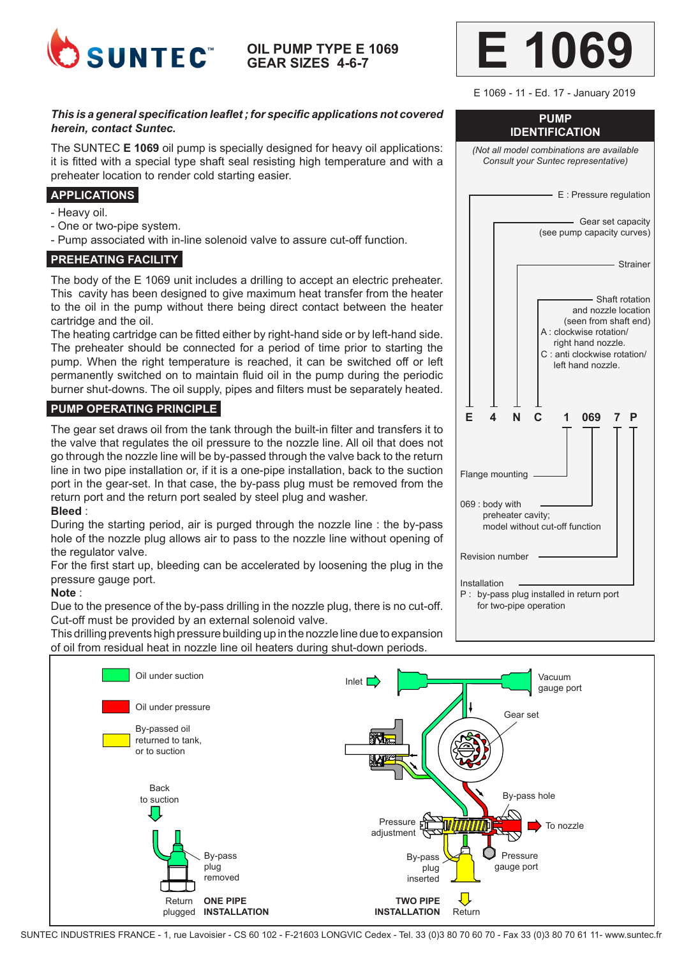

**OIL PUMP TYPE E 1069 GEAR SIZES 4-6-7**

### *This is a general specification leaflet ; for specific applications not covered herein, contact Suntec.*

The SUNTEC **E 1069** oil pump is specially designed for heavy oil applications: it is fitted with a special type shaft seal resisting high temperature and with a preheater location to render cold starting easier.

# **APPLICATIONS**

- Heavy oil.
- One or two-pipe system.
- Pump associated with in-line solenoid valve to assure cut-off function.

#### **PREHEATING FACILITY**

The body of the E 1069 unit includes a drilling to accept an electric preheater. This cavity has been designed to give maximum heat transfer from the heater to the oil in the pump without there being direct contact between the heater cartridge and the oil.

The heating cartridge can be fitted either by right-hand side or by left-hand side. The preheater should be connected for a period of time prior to starting the pump. When the right temperature is reached, it can be switched off or left permanently switched on to maintain fluid oil in the pump during the periodic burner shut-downs. The oil supply, pipes and filters must be separately heated.

### **PUMP OPERATING PRINCIPLE**

The gear set draws oil from the tank through the built-in filter and transfers it to the valve that regulates the oil pressure to the nozzle line. All oil that does not go through the nozzle line will be by-passed through the valve back to the return line in two pipe installation or, if it is a one-pipe installation, back to the suction port in the gear-set. In that case, the by-pass plug must be removed from the return port and the return port sealed by steel plug and washer.

#### **Bleed** :

During the starting period, air is purged through the nozzle line : the by-pass hole of the nozzle plug allows air to pass to the nozzle line without opening of the regulator valve.

For the first start up, bleeding can be accelerated by loosening the plug in the pressure gauge port.

#### **Note** :

Due to the presence of the by-pass drilling in the nozzle plug, there is no cut-off. Cut-off must be provided by an external solenoid valve.

This drilling prevents high pressure building up in the nozzle line due to expansion of oil from residual heat in nozzle line oil heaters during shut-down periods.



E 1069 - 11 - Ed. 17 - January 2019

## **PUMP IDENTIFICATION**

*(Not all model combinations are available Consult your Suntec representative)* - E : Pressure regulation - Gear set capacity (see pump capacity curves)





SUNTEC INDUSTRIES FRANCE - 1, rue Lavoisier - CS 60 102 - F-21603 LONGVIC Cedex - Tel. 33 (0)3 80 70 60 70 - Fax 33 (0)3 80 70 61 11- www.suntec.fr